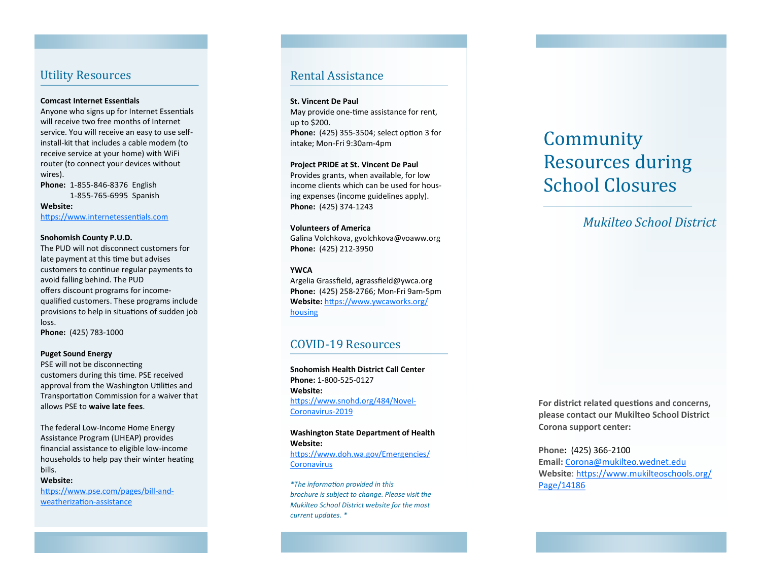## Utility Resources

#### **Comcast Internet Essentals**

Anyone who signs up for Internet Essentials will receive two free months of Internet service. You will receive an easy to use self install -kit that includes a cable modem (to receive service at your home) with WiFi router (to connect your devices without wires).

**Phone:**  1 -855 -846 -8376 English 1 -855 -765 -6995 Spanish

**Website:**  https://www.internetessentials.com

#### **Snohomish County P.U.D.**

The PUD will not disconnect customers for late payment at this time but advises customers to continue regular payments to avoid falling behind. The PUD offers discount programs for incomequalifed customers. These programs include provisions to help in situations of sudden job loss.

**Phone:** (425) 783 -1000

### **Puget Sound Energy**

PSE will not be disconnecting customers during this time. PSE received approval from the Washington Utilities and Transportaton Commission for a waiver that allows PSE to **waive late fees** .

The federal Low -Income Home Energy Assistance Program (LIHEAP) provides fnancial assistance to eligible low -income households to help pay their winter heating bills.

### **Website:**

https://www.pse.com/pages/bill-andweatherization-assistance

### Rental Assistance

#### **St. Vincent De Paul**

May provide one-time assistance for rent, up to \$200. **Phone:** (425) 355 -3504; select opton 3 for intake; Mon -Fri 9:30am -4pm

#### **Project PRIDE at St. Vincent De Paul**

Provides grants, when available, for low income clients which can be used for housing expenses (income guidelines apply). **Phone:** (425) 374 -1243

### **Volunteers of America**

Galina Volchkova, gvolchkova@voaww.org **Phone:** (425) 212 -3950

### **YWCA**

Argelia Grassfield, agrassfield@ywca.org **Phone:** (425) 258 -2766; Mon -Fri 9am -5pm **Website:** htps://www.ywcaworks.org/ housing

## COVID -19 Resources

**Snohomish Health District Call Center Phone:**  1 -800 -525 -0127 **Website:**  https://www.snohd.org/484/Novel-Coronavirus -2019

### **Washington State Department of Health Website:** htps://www.doh.wa.gov/Emergencies/ **Coronavirus**

*\*The informaton provided in this brochure is subject to change. Please visit the Mukilteo School District website for the most current updates. \**

# Community Resources during School Closures

*Mukilteo School District*

For district related questions and concerns, **please contact our Mukilteo School District Corona support center:**

**Phone:** (425) 366 -2100 **Email:** Corona@mukilteo.wednet.edu **Website**: htps://www.mukilteoschools.org/ Page/14186